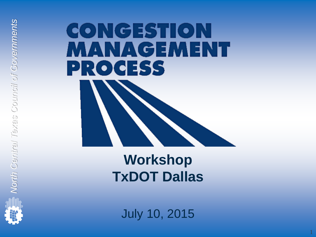# CONGESTION **MANAGEMENT PROCESS**

**Workshop TxDOT Dallas**

July 10, 2015

1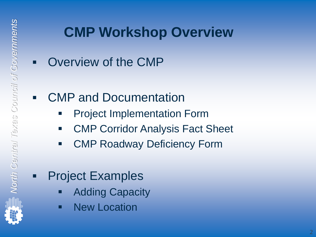### **CMP Workshop Overview**

Overview of the CMP

#### CMP and Documentation

- Project Implementation Form
- **EXECOLE COLLET CONTEX CONTEX CONTEX CONTEX CONTEX CONTEX CONTEX CONTEX CONTEX CONTEX CONTEX CONTEX CONTEX CONTEX CONTEX CONTEX CONTEX CONTEX CONTEX CONTEX CONTEX CONTEX CONTEX CONTEX CONTEX CONTEX CONTEX CONTEX CONTEX CON**
- CMP Roadway Deficiency Form

#### **-** Project Examples

- Adding Capacity
- **New Location**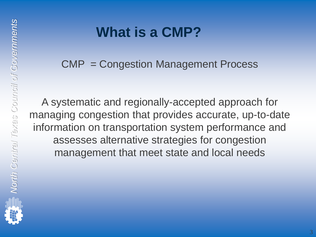## **What is a CMP?**

CMP = Congestion Management Process

A systematic and regionally-accepted approach for managing congestion that provides accurate, up-to-date information on transportation system performance and assesses alternative strategies for congestion management that meet state and local needs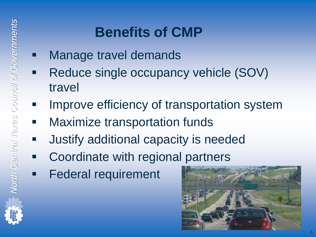## **Benefits of CMP**

- **Nanage travel demands** 
	- Reduce single occupancy vehicle (SOV) travel
- **IMPROVE Efficiency of transportation system**
- **Maximize transportation funds**
- **ULDER 19 THE STAND IS SET UP:** Justify additional capacity is needed
- **EXECOORDINATE:** Coordinate with regional partners
- Federal requirement



4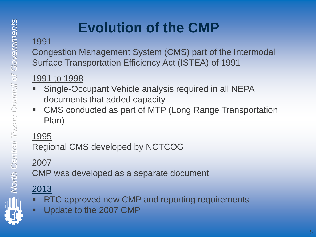## **Evolution of the CMP**

#### 1991

Congestion Management System (CMS) part of the Intermodal Surface Transportation Efficiency Act (ISTEA) of 1991

#### 1991 to 1998

- Single-Occupant Vehicle analysis required in all NEPA documents that added capacity
- CMS conducted as part of MTP (Long Range Transportation Plan)

#### 1995

Regional CMS developed by NCTCOG

#### 2007

CMP was developed as a separate document

#### 2013

- RTC approved new CMP and reporting requirements
- Update to the 2007 CMP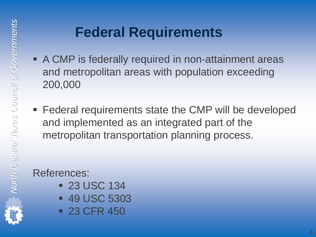### **Federal Requirements**

- A CMP is federally required in non-attainment areas and metropolitan areas with population exceeding 200,000
- Federal requirements state the CMP will be developed and implemented as an integrated part of the metropolitan transportation planning process.

#### References:

- **23 USC 134**
- **49 USC 5303**
- **23 CFR 450**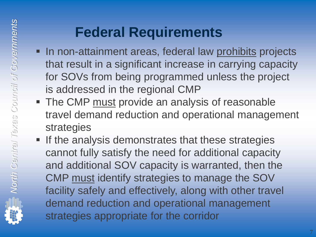## **Federal Requirements**

- In non-attainment areas, federal law prohibits projects that result in a significant increase in carrying capacity for SOVs from being programmed unless the project is addressed in the regional CMP
- The CMP must provide an analysis of reasonable travel demand reduction and operational management strategies
- **If the analysis demonstrates that these strategies** cannot fully satisfy the need for additional capacity and additional SOV capacity is warranted, then the CMP must identify strategies to manage the SOV facility safely and effectively, along with other travel demand reduction and operational management strategies appropriate for the corridor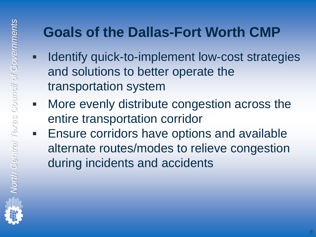### **Goals of the Dallas-Fort Worth CMP**

- **If Identify quick-to-implement low-cost strategies** and solutions to better operate the transportation system
- More evenly distribute congestion across the entire transportation corridor
- **Ensure corridors have options and available** alternate routes/modes to relieve congestion during incidents and accidents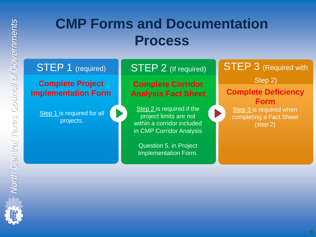STEP 1 (required)

**Complete Project Implementation Form**

> Step 1 is required for all projects.

STEP 2 (If required)

**Complete Corridor**  Step 2) **Analysis Fact Sheet**

**Step 2** is required if the project limits are not within a corridor included in CMP Corridor Analysis

Question 5. in Project Implementation Form. **STEP 3** (Required with

**Complete Deficiency Form** Step 3 is required when completing a Fact Sheet

(step 2)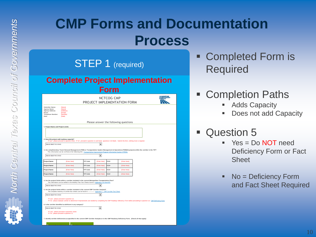STEP 1 (required)

#### **Complete Project Implementation**

**Form**

|                                                                                            |                                                                                                                                                                                                                                                                                 |                 |                      | .                                      |                                       |  |  |
|--------------------------------------------------------------------------------------------|---------------------------------------------------------------------------------------------------------------------------------------------------------------------------------------------------------------------------------------------------------------------------------|-----------------|----------------------|----------------------------------------|---------------------------------------|--|--|
| NCTCOG CMP<br>PROJECT IMPLEMENTATION FORM                                                  |                                                                                                                                                                                                                                                                                 |                 |                      |                                        |                                       |  |  |
| Submitter Name:<br>Agency Name:<br>Agency Address:<br>Email:<br>Telephone Number:<br>Date: | [Name]<br>[Name]<br>[Address]<br>[Email]<br>[Number]<br>[Date]                                                                                                                                                                                                                  |                 |                      |                                        |                                       |  |  |
|                                                                                            |                                                                                                                                                                                                                                                                                 |                 |                      |                                        | Please answer the following questions |  |  |
| 1. Project Name and Project Limits                                                         | 2. Does this project add roadway capacity?                                                                                                                                                                                                                                      |                 |                      |                                        |                                       |  |  |
|                                                                                            | If "yes", please proceed to question three. If "no", proceed to question 11 and leave questions 3-10 blank. Submit the form, nothing more is required.                                                                                                                          |                 |                      |                                        |                                       |  |  |
| PLEASE SELECT YES OR NO                                                                    |                                                                                                                                                                                                                                                                                 |                 | $\blacktriangledown$ |                                        |                                       |  |  |
| PLEASE SELECT YES OR NO                                                                    | 3. Are complimentary Travel Demand Management (TDM) or Transportation System Management & Operations (TSM&O) projects within the corridor in the TIP?<br>This information can be verified at the following link: Transportation Improvement Program Information System (TIPINS) |                 | ۰                    |                                        |                                       |  |  |
| <b>Project Name</b>                                                                        | [Enter Here]                                                                                                                                                                                                                                                                    | <b>TIP Code</b> | [Enter Here]         | CSJ#                                   | [Enter Here]                          |  |  |
| <b>Project Name</b>                                                                        | [Enter Here]                                                                                                                                                                                                                                                                    | <b>TIP Code</b> | [Enter Here]         | <b>CSJ#</b>                            | [Enter Here]                          |  |  |
| <b>Project Name</b>                                                                        | [Enter Here]                                                                                                                                                                                                                                                                    | <b>TIP Code</b> | [Enter Here]         | <b>CSJ#</b>                            | [Enter Here]                          |  |  |
| <b>Project Name</b>                                                                        | [Enter Here]                                                                                                                                                                                                                                                                    | <b>TIP Code</b> | [Enter Here]         | CSJ#                                   | [Enter Here]                          |  |  |
| PLEASE SELECT YES OR NO                                                                    | 4. Are the project limits within a corridor included in the current Metropolitan Transportation Plan?<br>This information can be verified in the Mobility Plan Fact Sheets found in Appendix G of the MTP                                                                       |                 | ۰                    |                                        |                                       |  |  |
|                                                                                            | 5. Are the project limits within a corridor included in the current CMP Corridor Analysis?<br>The complete inventory of corridor fact sheets can be found in -                                                                                                                  |                 |                      | - Appendix C - CMP Corridor Fact Sheet |                                       |  |  |
| PLEASE SELECT YES OR NO                                                                    |                                                                                                                                                                                                                                                                                 |                 | ۰                    |                                        |                                       |  |  |
|                                                                                            | "If "yes", please proceed to question six.<br>"If "no", please evaluate corridor to determine if improvements are needed by completing the CMP Roadway Deficiency Form before proceeding to question six: CMP Deficiency Form                                                   |                 |                      |                                        |                                       |  |  |
|                                                                                            | 6. Is the corridor identified as deficient in any category?                                                                                                                                                                                                                     |                 |                      |                                        |                                       |  |  |
| PLEASE SELECT YES OR NO                                                                    |                                                                                                                                                                                                                                                                                 |                 | ۰                    |                                        |                                       |  |  |
|                                                                                            | "If "ves", please proceed to questions seven.<br>"If "no", please proceed to question 11.                                                                                                                                                                                       |                 |                      |                                        |                                       |  |  |
|                                                                                            | 7. Identify corridor deficiencies as specified in the current CMP Corridor Analysis or in the CMP Roadway Deficiency Form. (Check all that apply)                                                                                                                               |                 |                      |                                        |                                       |  |  |
|                                                                                            |                                                                                                                                                                                                                                                                                 |                 |                      |                                        |                                       |  |  |

 Completed Form is Required

#### Completion Paths

- Adds Capacity
- Does not add Capacity
- Question 5
	- Yes = Do NOT need Deficiency Form or Fact Sheet
	- No = Deficiency Form and Fact Sheet Required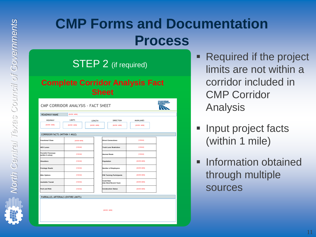STEP 2 (if required)

#### **Complete Corridor Analysis Fact Sheet**

| CMP CORRIDOR ANALYSIS - FACT SHEET            |                            |                    |                                             |                     |  |  |  |  |
|-----------------------------------------------|----------------------------|--------------------|---------------------------------------------|---------------------|--|--|--|--|
| ROADWAY NAME                                  | <b>IBVIER HERE</b>         |                    |                                             |                     |  |  |  |  |
| <b>HIGHWAY</b>                                | <b>LIMITS</b>              | LENGTH             | <b>DIRECTION</b>                            | <b>MAINLANES</b>    |  |  |  |  |
| [ENTER HERE]                                  | <b><i>[ENTER HERE]</i></b> | <b>IBVIER HERE</b> | <b>[ENTER HERE]</b>                         | <b>[ENTER HERE]</b> |  |  |  |  |
|                                               |                            |                    |                                             |                     |  |  |  |  |
| <b>CORRIDOR FACTS (WITHIN 1 MILE)</b>         |                            |                    |                                             |                     |  |  |  |  |
| <b>Functional Class</b>                       | <b>[ENTER HERE]</b>        |                    | <b>Direct Connections</b>                   | [YES/NO]            |  |  |  |  |
| <b>HOV Lanes</b>                              | [YES/NO]                   |                    | <b>Truck Lane Restriction</b>               | [YES/NO]            |  |  |  |  |
| <b>Parrallel Freeways</b><br>(within 5 miles) | [YES/NO]                   |                    | <b>Hazmat Route</b>                         | [YES/NO]            |  |  |  |  |
| <b>Shoulders</b>                              | [YES/NO]                   |                    | Population                                  | <b>IENTER HERE</b>  |  |  |  |  |
| <b>Frontage Roads</b>                         | [YES/NO]                   |                    | Number of Employees                         | <b>[ENTER HERE]</b> |  |  |  |  |
| <b>Bike Options</b>                           | [YES/NO]                   |                    | <b>FIM Training Participants</b>            | <b>[ENTER HERE]</b> |  |  |  |  |
| <b>Available Transit</b>                      | [YES/NO]                   |                    | <b>Crash Rate</b><br>(Use Most Recent Year) | <b>IENTER HERE</b>  |  |  |  |  |
| Park and Ride                                 | [YES/NO]                   |                    | <b>Construction Status</b>                  | <b>IENTER HERE</b>  |  |  |  |  |
| PARRALLEL ARTERIALS (ENTIRE LIMITS)           |                            |                    |                                             |                     |  |  |  |  |
|                                               |                            |                    |                                             |                     |  |  |  |  |
|                                               |                            |                    |                                             |                     |  |  |  |  |
|                                               |                            |                    | <b>IBVTER HERE</b>                          |                     |  |  |  |  |
|                                               |                            |                    |                                             |                     |  |  |  |  |
|                                               |                            |                    |                                             |                     |  |  |  |  |

- Required if the project limits are not within a corridor included in CMP Corridor Analysis
- Input project facts (within 1 mile)
- Information obtained through multiple sources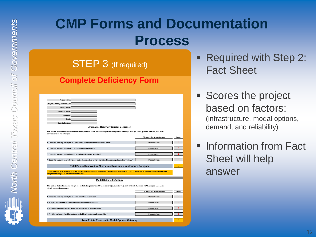STEP 3 (If required)

#### **Complete Deficiency Form**

| Project Name:                                                  |                                                                                                                                                         |                                    |              |  |  |
|----------------------------------------------------------------|---------------------------------------------------------------------------------------------------------------------------------------------------------|------------------------------------|--------------|--|--|
| Project Limits (From and To):                                  |                                                                                                                                                         |                                    |              |  |  |
| <b>Agency Name:</b>                                            |                                                                                                                                                         |                                    |              |  |  |
| <b>Submitter Name:</b>                                         |                                                                                                                                                         |                                    |              |  |  |
| Telephone:                                                     |                                                                                                                                                         |                                    |              |  |  |
| Email:                                                         |                                                                                                                                                         |                                    |              |  |  |
| Date Submitted:                                                |                                                                                                                                                         |                                    |              |  |  |
|                                                                | <b>Alternative Roadway Corridor Deficiency</b>                                                                                                          |                                    |              |  |  |
| connections or interchanges.                                   | The factors that influence alternative roadway infrastructure include the presence of parallel freeways, frontage roads, parallel arterials, and direct |                                    |              |  |  |
|                                                                |                                                                                                                                                         | <b>Click Cell To Select Answer</b> | Score        |  |  |
|                                                                | 1. Does the roadway facility have a parallel freeway or toll road within five miles?                                                                    | <b>Please Select</b>               | $\Omega$     |  |  |
|                                                                |                                                                                                                                                         |                                    |              |  |  |
| 2. Does the roadway facility include a frontage road system?   |                                                                                                                                                         | <b>Please Select</b>               | $\mathbf{0}$ |  |  |
|                                                                | 3. Does the roadway facility have a parallel arterial within two miles?                                                                                 | <b>Please Select</b>               | $\mathbf{0}$ |  |  |
|                                                                | 4. Does the roadway network include a direct connection or non-signalized interchange to another highway?                                               | <b>Please Select</b>               | $\mathbf{0}$ |  |  |
|                                                                | Total Points Received in Alternative Roadway Infrastructure Category                                                                                    |                                    | $\bf{0}$     |  |  |
| mitigation strategies to correct the deficiency.               | If total score is 14 or below, then improvements are needed in this category. Please see Appendix A of the current CMP to identify possible congestion  |                                    |              |  |  |
|                                                                |                                                                                                                                                         |                                    |              |  |  |
|                                                                | <b>Modal Options Deficiency</b>                                                                                                                         |                                    |              |  |  |
| bicycle/pedestrian options.                                    | The factors that influence modal options include the presence of transit options (bus and/or rail), park-and-ride facilities, HOV/Managed Lanes, and    |                                    |              |  |  |
|                                                                |                                                                                                                                                         | <b>Click Cell To Select Answer</b> | Score        |  |  |
| 1. Does the roadway facility have established transit service? |                                                                                                                                                         | <b>Please Select</b>               | $\mathbf{0}$ |  |  |
|                                                                | 2. Is a park-and-ride facility located along the roadway corridor?                                                                                      | <b>Please Select</b>               | $\mathbf{0}$ |  |  |
|                                                                | 3. Are HOV or Managed lanes available along the roadway corridor?                                                                                       | <b>Please Select</b>               | $\mathbf{0}$ |  |  |
|                                                                | 4. Are bike trails or other bike options available along the roadway corridor?                                                                          | <b>Please Select</b>               | $\mathbf{0}$ |  |  |
| <b>Total Points Received in Modal Options Category</b>         |                                                                                                                                                         |                                    |              |  |  |

 Required with Step 2: Fact Sheet

- Scores the project based on factors: (infrastructure, modal options, demand, and reliability)
- Information from Fact Sheet will help answer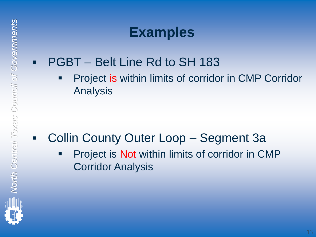### **Examples**

- PGBT Belt Line Rd to SH 183
	- Project is within limits of corridor in CMP Corridor Analysis

- Collin County Outer Loop Segment 3a
	- Project is Not within limits of corridor in CMP Corridor Analysis